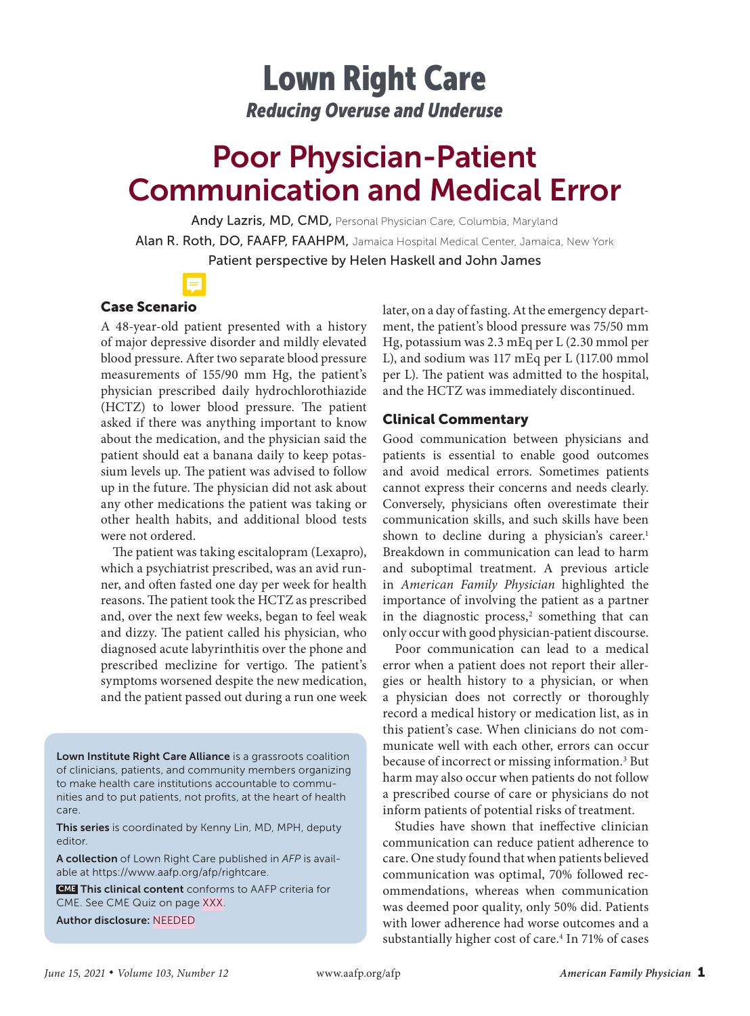## Lown Right Care *Reducing Overuse and Underuse*

# Poor Physician-Patient Communication and Medical Error

Andy Lazris, MD, CMD, Personal Physician Care, Columbia, Maryland Alan R. Roth, DO, FAAFP, FAAHPM, Jamaica Hospital Medical Center, Jamaica, New York

Patient perspective by Helen Haskell and John James



### Case Scenario

A 48-year-old patient presented with a history of major depressive disorder and mildly elevated blood pressure. After two separate blood pressure measurements of 155/90 mm Hg, the patient's physician prescribed daily hydrochlorothiazide (HCTZ) to lower blood pressure. The patient asked if there was anything important to know about the medication, and the physician said the patient should eat a banana daily to keep potassium levels up. The patient was advised to follow up in the future. The physician did not ask about any other medications the patient was taking or other health habits, and additional blood tests were not ordered.

The patient was taking escitalopram (Lexapro), which a psychiatrist prescribed, was an avid runner, and often fasted one day per week for health reasons. The patient took the HCTZ as prescribed and, over the next few weeks, began to feel weak and dizzy. The patient called his physician, who diagnosed acute labyrinthitis over the phone and prescribed meclizine for vertigo. The patient's symptoms worsened despite the new medication, and the patient passed out during a run one week

Lown Institute Right Care Alliance is a grassroots coalition of clinicians, patients, and community members organizing to make health care institutions accountable to communities and to put patients, not profits, at the heart of health care.

This series is coordinated by Kenny Lin, MD, MPH, deputy editor.

A collection of Lown Right Care published in *AFP* is available at https://www.aafp.org/afp/rightcare.

 CME This clinical content conforms to AAFP criteria for CME. See CME Quiz on page XXX.

Author disclosure: NEEDED

later, on a day of fasting. At the emergency department, the patient's blood pressure was 75/50 mm Hg, potassium was 2.3 mEq per L (2.30 mmol per L), and sodium was 117 mEq per L (117.00 mmol per L). The patient was admitted to the hospital, and the HCTZ was immediately discontinued.

#### Clinical Commentary

Good communication between physicians and patients is essential to enable good outcomes and avoid medical errors. Sometimes patients cannot express their concerns and needs clearly. Conversely, physicians often overestimate their communication skills, and such skills have been shown to decline during a physician's career.<sup>1</sup> Breakdown in communication can lead to harm and suboptimal treatment. A previous article in *American Family Physician* highlighted the importance of involving the patient as a partner in the diagnostic process,<sup>2</sup> something that can only occur with good physician-patient discourse.

Poor communication can lead to a medical error when a patient does not report their allergies or health history to a physician, or when a physician does not correctly or thoroughly record a medical history or medication list, as in this patient's case. When clinicians do not communicate well with each other, errors can occur because of incorrect or missing information.<sup>3</sup> But harm may also occur when patients do not follow a prescribed course of care or physicians do not inform patients of potential risks of treatment.

Studies have shown that ineffective clinician communication can reduce patient adherence to care. One study found that when patients believed communication was optimal, 70% followed recommendations, whereas when communication was deemed poor quality, only 50% did. Patients with lower adherence had worse outcomes and a substantially higher cost of care.<sup>4</sup> In 71% of cases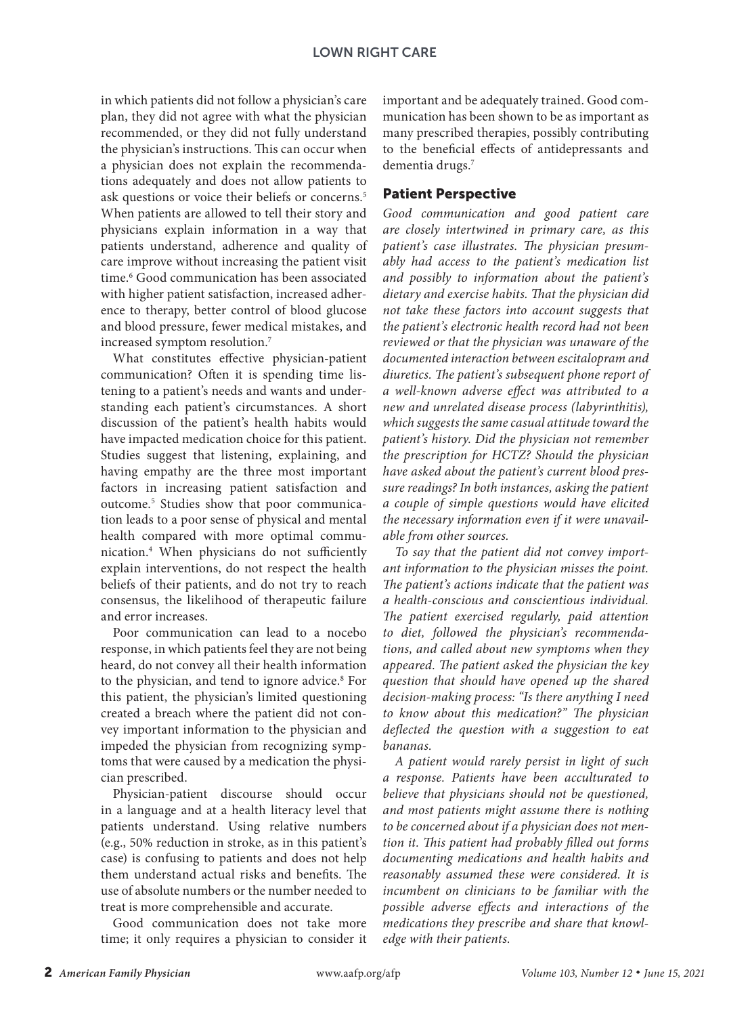in which patients did not follow a physician's care plan, they did not agree with what the physician recommended, or they did not fully understand the physician's instructions. This can occur when a physician does not explain the recommendations adequately and does not allow patients to ask questions or voice their beliefs or concerns.<sup>5</sup> When patients are allowed to tell their story and physicians explain information in a way that patients understand, adherence and quality of care improve without increasing the patient visit time.<sup>6</sup> Good communication has been associated with higher patient satisfaction, increased adherence to therapy, better control of blood glucose and blood pressure, fewer medical mistakes, and increased symptom resolution.7

What constitutes effective physician-patient communication? Often it is spending time listening to a patient's needs and wants and understanding each patient's circumstances. A short discussion of the patient's health habits would have impacted medication choice for this patient. Studies suggest that listening, explaining, and having empathy are the three most important factors in increasing patient satisfaction and outcome.<sup>5</sup> Studies show that poor communication leads to a poor sense of physical and mental health compared with more optimal communication.4 When physicians do not sufficiently explain interventions, do not respect the health beliefs of their patients, and do not try to reach consensus, the likelihood of therapeutic failure and error increases.

Poor communication can lead to a nocebo response, in which patients feel they are not being heard, do not convey all their health information to the physician, and tend to ignore advice.<sup>8</sup> For this patient, the physician's limited questioning created a breach where the patient did not convey important information to the physician and impeded the physician from recognizing symptoms that were caused by a medication the physician prescribed.

Physician-patient discourse should occur in a language and at a health literacy level that patients understand. Using relative numbers (e.g., 50% reduction in stroke, as in this patient's case) is confusing to patients and does not help them understand actual risks and benefits. The use of absolute numbers or the number needed to treat is more comprehensible and accurate.

Good communication does not take more time; it only requires a physician to consider it important and be adequately trained. Good communication has been shown to be as important as many prescribed therapies, possibly contributing to the beneficial effects of antidepressants and dementia drugs.7

#### Patient Perspective

*Good communication and good patient care are closely intertwined in primary care, as this patient's case illustrates. The physician presumably had access to the patient's medication list and possibly to information about the patient's dietary and exercise habits. That the physician did not take these factors into account suggests that the patient's electronic health record had not been reviewed or that the physician was unaware of the documented interaction between escitalopram and diuretics. The patient's subsequent phone report of a well-known adverse effect was attributed to a new and unrelated disease process (labyrinthitis), which suggests the same casual attitude toward the patient's history. Did the physician not remember the prescription for HCTZ? Should the physician have asked about the patient's current blood pressure readings? In both instances, asking the patient a couple of simple questions would have elicited the necessary information even if it were unavailable from other sources.*

*To say that the patient did not convey important information to the physician misses the point. The patient's actions indicate that the patient was a health-conscious and conscientious individual. The patient exercised regularly, paid attention to diet, followed the physician's recommendations, and called about new symptoms when they appeared. The patient asked the physician the key question that should have opened up the shared decision-making process: "Is there anything I need to know about this medication?" The physician deflected the question with a suggestion to eat bananas.*

*A patient would rarely persist in light of such a response. Patients have been acculturated to believe that physicians should not be questioned, and most patients might assume there is nothing to be concerned about if a physician does not mention it. This patient had probably filled out forms documenting medications and health habits and reasonably assumed these were considered. It is incumbent on clinicians to be familiar with the possible adverse effects and interactions of the medications they prescribe and share that knowledge with their patients.*